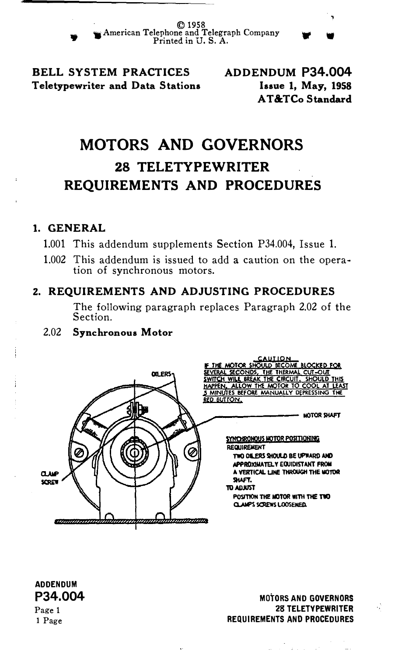© 1958 ., wAmerican Telephone and Telegraph Company Printed in U.S.A.

BELL SYSTEM PRACTICES Teletypewriter and Data Stations ADDENDUM P34.004 Issue 1, May, 1958 AT &TCo Standard

# MOTORS AND GOVERNORS 28 TELETYPEWRITER REQUIREMENTS AND PROCEDURES

## 1. GENERAL

- 1.001 This addendum supplements Section P34.004, Issue 1.
- 1.002 This addendum is issued to add a caution on the operation of synchronous motors.

## 2. REQUIREMENTS AND ADJUSTING PROCEDURES

The following paragraph replaces Paragraph 2.02 of the Section.

### 2.02 Synchronous Motor



ADDENDUM P34.004 Page 1 I Page

MOTORS AND GOVERNORS 28 TELETYPEWRITER REQUIREMENTS AND PROCEDURES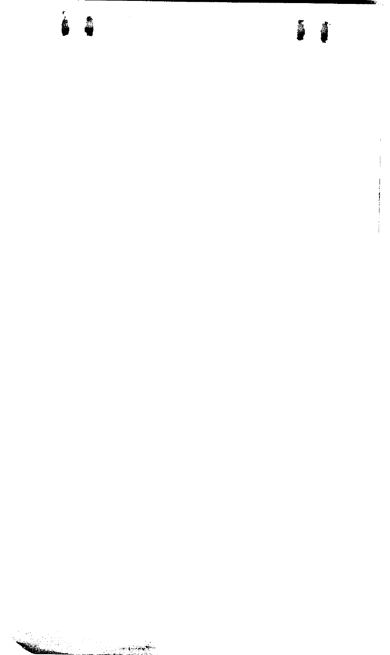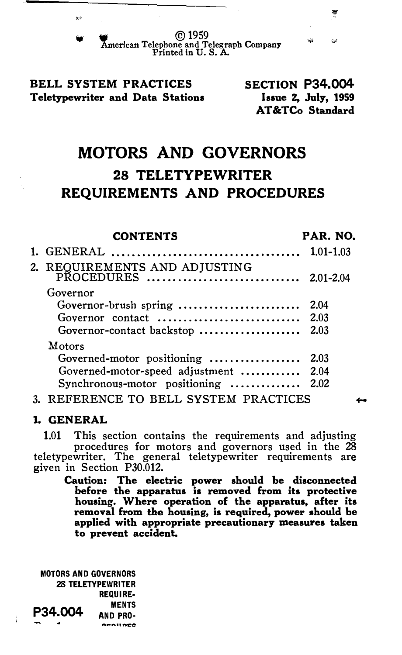• @1959 American Telephone and Telegraph Company Printed in U.S. A.

### BELL SYSTEM PRACTICES Teletypewriter and Data Stations

ie.

SECTION P34.004 Issue Z, July, 1959 AT &:TCo Standard

# MOTORS AND GOVERNORS 28 TELETYPEWRITER REQUIREMENTS AND PROCEDURES

| <b>CONTENTS</b>                                                                                                                    | PAR. NO.      |
|------------------------------------------------------------------------------------------------------------------------------------|---------------|
|                                                                                                                                    | $1.01 - 1.03$ |
| 2. REQUIREMENTS AND ADJUSTING                                                                                                      |               |
| Governor<br>Governor contact $\ldots \ldots \ldots \ldots \ldots \ldots \ldots$ 2.03                                               | 2.04          |
| Motors<br>Governed-motor positioning  2.03<br>Governed-motor-speed adjustment  2.04<br>Synchronous-motor positioning $\ldots$ 2.02 |               |
| REFERENCE TO BELL SYSTEM PRACTICES                                                                                                 |               |

## 1. GENERAL

1.01 This section contains the requirements and adjusting procedures for motors and governors used in the 28 teletypewriter. The general teletypewriter requirements are given in Section P30.012.

Caution: The electric power should be disconnected before the apparatus is removed from its protective housing. Where operation of the apparatus, after its removal from the housing, is required, power should be applied with appropriate precautionary measures taken to prevent accident.

MOTORS AND GOVERNORS 28 TELETYPEWRITER REQUIRE· **P34.004** AND PRO-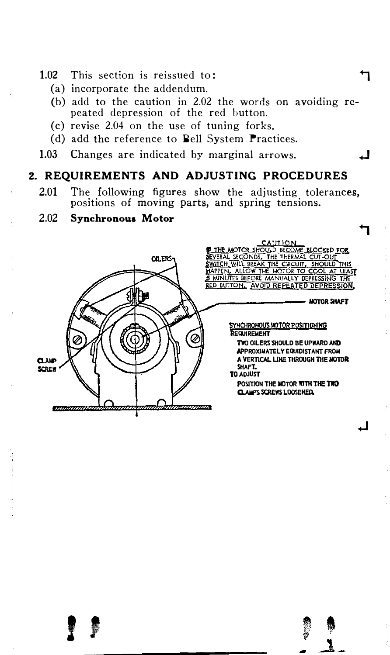- 1.02 This section is reissued to:
	- (a) incorporate the addendum.
	- (b) add to the caution in 2.02 the words on avoiding repeated depression of the red button.
	- (c) revise 2.04 on the use of tuning forks.
	- (d) add the reference to Bell System Practices.
- 1.03 Changes are indicated by marginal arrows. �

# 2. REQUIREMENTS AND ADJUSTING PROCEDURES

- 2.01 The following figures show the adjusting tolerances, positions of moving parts, and spring tensions.
- 2.02 Synchronous Motor

f ,



 $\omega$  $-1$  ا ب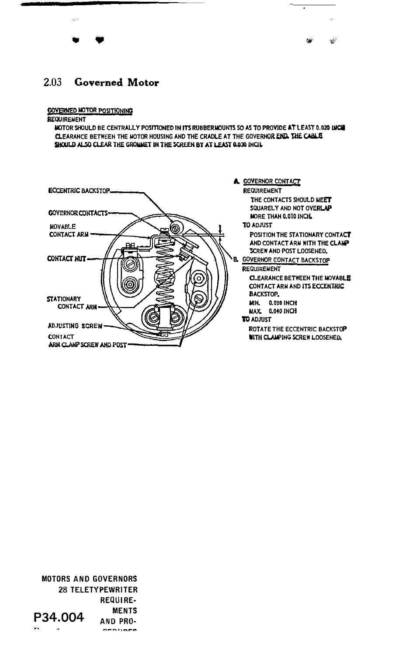# 2.03 Governed Motor

#### **COVERNED MOTOR POSITIONING**

**REQUIREMENT** 

 $\bar{N}$ 

MOTOR SHOULD BE CENTRALLY POSITIONED IN ITS RUBBER MOUNTS SO AS TO PROVIDE AT LEAST 0.020 INCH CLEARANCE BETWEEN THE MOTOR HOUSING AND THE CRADLE AT THE GOVERNOR END. THE CABLE SHOULD ALSO CLEAR THE GROMMET IN THE SCREEN BY AT LEAST 0.030 INCIL



A. GOVERNOR CONTACT **REQUIREMENT** THE CONTACTS SHOULD MEET SQUARELY AND NOT OVERLAP MORE THAN 0.010 INCH. TO ADJUST POSITION THE STATIONARY CONTACT AND CONTACT ARM WITH THE CLAMP SCREW AND POST LOOSENED. B. GOVERNOR CONTACT BACKSTOP **REQUIREMENT CLEARANCE BETWEEN THE MOVABLE** CONTACT ARM AND ITS ECCENTRIC **BACKSTOP** MIN. 0.020 INCH **MAX: 0.040 INCH TO ADJUST** ROTATE THE ECCENTRIC BACKSTOP

4ò.

**WITH CLAMPING SCREW LOOSENED.** 

**MOTORS AND GOVERNORS** 28 TELETYPEWRITER REQUIRE-**MENTS** P34.004 AND PRO- $\lambda$ orniare